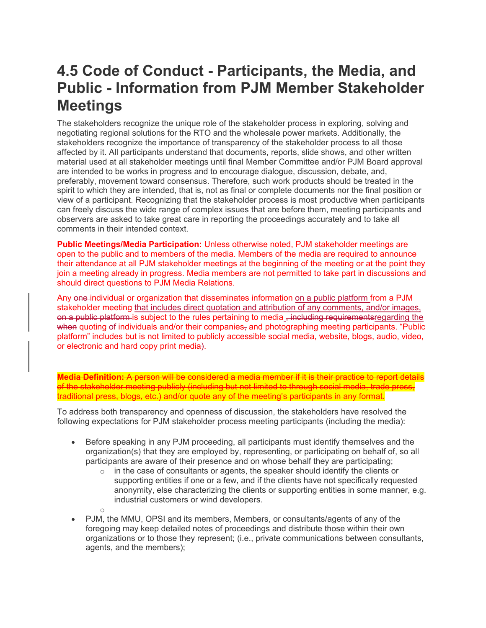## **4.5 Code of Conduct - Participants, the Media, and Public - Information from PJM Member Stakeholder Meetings**

The stakeholders recognize the unique role of the stakeholder process in exploring, solving and negotiating regional solutions for the RTO and the wholesale power markets. Additionally, the stakeholders recognize the importance of transparency of the stakeholder process to all those affected by it. All participants understand that documents, reports, slide shows, and other written material used at all stakeholder meetings until final Member Committee and/or PJM Board approval are intended to be works in progress and to encourage dialogue, discussion, debate, and, preferably, movement toward consensus. Therefore, such work products should be treated in the spirit to which they are intended, that is, not as final or complete documents nor the final position or view of a participant. Recognizing that the stakeholder process is most productive when participants can freely discuss the wide range of complex issues that are before them, meeting participants and observers are asked to take great care in reporting the proceedings accurately and to take all comments in their intended context.

**Public Meetings/Media Participation:** Unless otherwise noted, PJM stakeholder meetings are open to the public and to members of the media. Members of the media are required to announce their attendance at all PJM stakeholder meetings at the beginning of the meeting or at the point they join a meeting already in progress. Media members are not permitted to take part in discussions and should direct questions to PJM Media Relations.

Any one individual or organization that disseminates information on a public platform from a PJM stakeholder meeting that includes direct quotation and attribution of any comments, and/or images, on a public platform is subject to the rules pertaining to media , including requirementsregarding the when quoting of individuals and/or their companies, and photographing meeting participants. "Public platform" includes but is not limited to publicly accessible social media, website, blogs, audio, video, or electronic and hard copy print media).

**Media Definition:** A person will be considered a media member if it is their practice to report details of the stakeholder meeting publicly (including but not limited to through social media, trade press, traditional press, blogs, etc.) and/or quote any of the meeting's participants in any format.

To address both transparency and openness of discussion, the stakeholders have resolved the following expectations for PJM stakeholder process meeting participants (including the media):

o

- Before speaking in any PJM proceeding, all participants must identify themselves and the organization(s) that they are employed by, representing, or participating on behalf of, so all participants are aware of their presence and on whose behalf they are participating;
	- $\circ$  in the case of consultants or agents, the speaker should identify the clients or supporting entities if one or a few, and if the clients have not specifically requested anonymity, else characterizing the clients or supporting entities in some manner, e.g. industrial customers or wind developers.
- PJM, the MMU, OPSI and its members, Members, or consultants/agents of any of the foregoing may keep detailed notes of proceedings and distribute those within their own organizations or to those they represent; (i.e., private communications between consultants, agents, and the members);